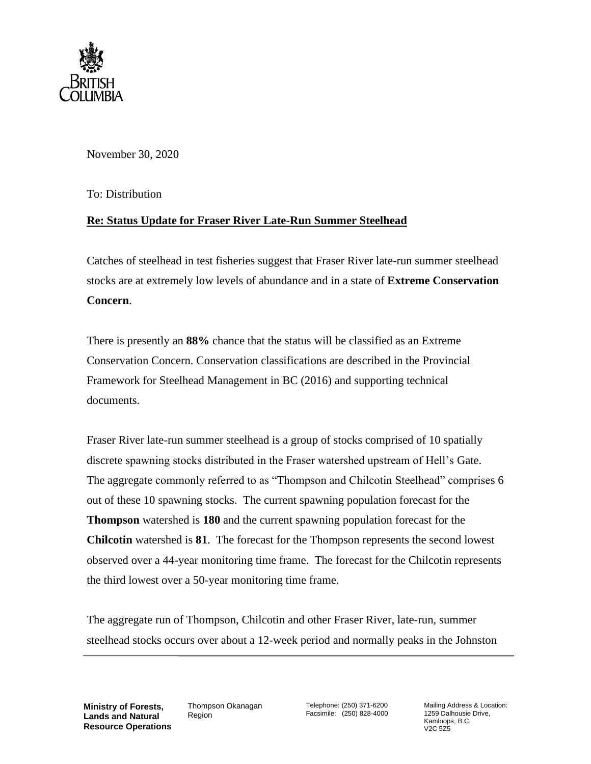

November 30, 2020

To: Distribution

## **Re: Status Update for Fraser River Late-Run Summer Steelhead**

Catches of steelhead in test fisheries suggest that Fraser River late-run summer steelhead stocks are at extremely low levels of abundance and in a state of **Extreme Conservation Concern**.

There is presently an **88%** chance that the status will be classified as an Extreme Conservation Concern. Conservation classifications are described in the Provincial Framework for Steelhead Management in BC (2016) and supporting technical documents.

Fraser River late-run summer steelhead is a group of stocks comprised of 10 spatially discrete spawning stocks distributed in the Fraser watershed upstream of Hell's Gate. The aggregate commonly referred to as "Thompson and Chilcotin Steelhead" comprises 6 out of these 10 spawning stocks. The current spawning population forecast for the **Thompson** watershed is **180** and the current spawning population forecast for the **Chilcotin** watershed is **81**. The forecast for the Thompson represents the second lowest observed over a 44-year monitoring time frame. The forecast for the Chilcotin represents the third lowest over a 50-year monitoring time frame.

The aggregate run of Thompson, Chilcotin and other Fraser River, late-run, summer steelhead stocks occurs over about a 12-week period and normally peaks in the Johnston

**Ministry of Forests, Lands and Natural Resource Operations** Thompson Okanagan Region

Telephone: (250) 371-6200 Facsimile: (250) 828-4000 Mailing Address & Location: 1259 Dalhousie Drive, Kamloops, B.C. V2C 5Z5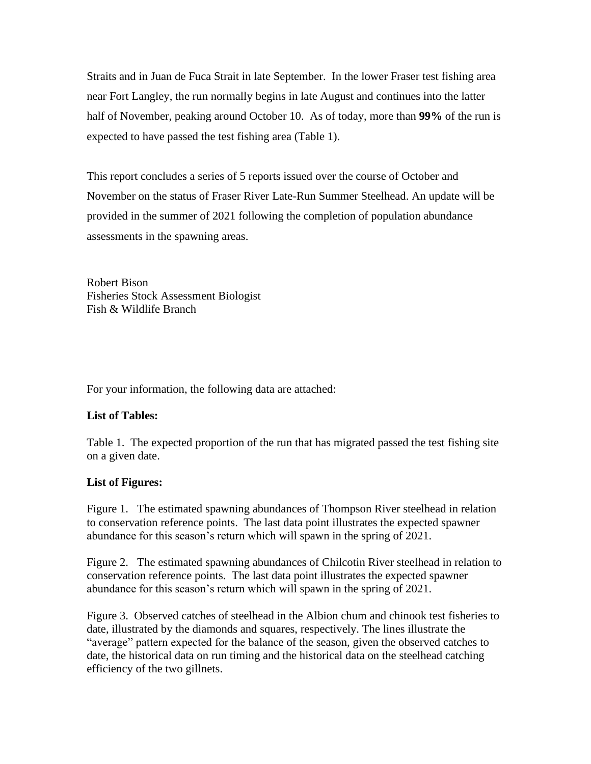Straits and in Juan de Fuca Strait in late September. In the lower Fraser test fishing area near Fort Langley, the run normally begins in late August and continues into the latter half of November, peaking around October 10. As of today, more than **99%** of the run is expected to have passed the test fishing area (Table 1).

This report concludes a series of 5 reports issued over the course of October and November on the status of Fraser River Late-Run Summer Steelhead. An update will be provided in the summer of 2021 following the completion of population abundance assessments in the spawning areas.

Robert Bison Fisheries Stock Assessment Biologist Fish & Wildlife Branch

For your information, the following data are attached:

## **List of Tables:**

Table 1. The expected proportion of the run that has migrated passed the test fishing site on a given date.

## **List of Figures:**

Figure 1. The estimated spawning abundances of Thompson River steelhead in relation to conservation reference points. The last data point illustrates the expected spawner abundance for this season's return which will spawn in the spring of 2021.

Figure 2. The estimated spawning abundances of Chilcotin River steelhead in relation to conservation reference points. The last data point illustrates the expected spawner abundance for this season's return which will spawn in the spring of 2021.

Figure 3. Observed catches of steelhead in the Albion chum and chinook test fisheries to date, illustrated by the diamonds and squares, respectively. The lines illustrate the "average" pattern expected for the balance of the season, given the observed catches to date, the historical data on run timing and the historical data on the steelhead catching efficiency of the two gillnets.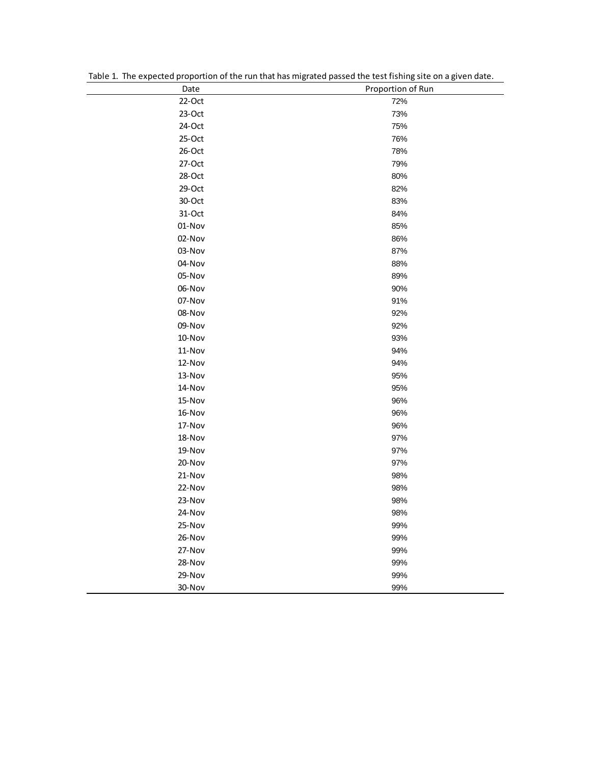| Date      | Proportion of Run |
|-----------|-------------------|
| 22-Oct    | 72%               |
| $23-Oct$  | 73%               |
| 24-Oct    | 75%               |
| $25-Oct$  | 76%               |
| $26$ -Oct | 78%               |
| 27-Oct    | 79%               |
| 28-Oct    | 80%               |
| 29-Oct    | 82%               |
| 30-Oct    | 83%               |
| 31-Oct    | 84%               |
| 01-Nov    | 85%               |
| 02-Nov    | 86%               |
| 03-Nov    | 87%               |
| 04-Nov    | 88%               |
| 05-Nov    | 89%               |
| 06-Nov    | 90%               |
| 07-Nov    | 91%               |
| 08-Nov    | 92%               |
| 09-Nov    | 92%               |
| 10-Nov    | 93%               |
| 11-Nov    | 94%               |
| 12-Nov    | 94%               |
| 13-Nov    | 95%               |
| 14-Nov    | 95%               |
| 15-Nov    | 96%               |
| 16-Nov    | 96%               |
| 17-Nov    | 96%               |
| 18-Nov    | 97%               |
| 19-Nov    | 97%               |
| 20-Nov    | 97%               |
| 21-Nov    | 98%               |
| 22-Nov    | 98%               |
| 23-Nov    | 98%               |
| 24-Nov    | 98%               |
| 25-Nov    | 99%               |
| 26-Nov    | 99%               |
| 27-Nov    | 99%               |
| 28-Nov    | 99%               |
| 29-Nov    | 99%               |
| 30-Nov    | 99%               |

Table 1. The expected proportion of the run that has migrated passed the test fishing site on a given date.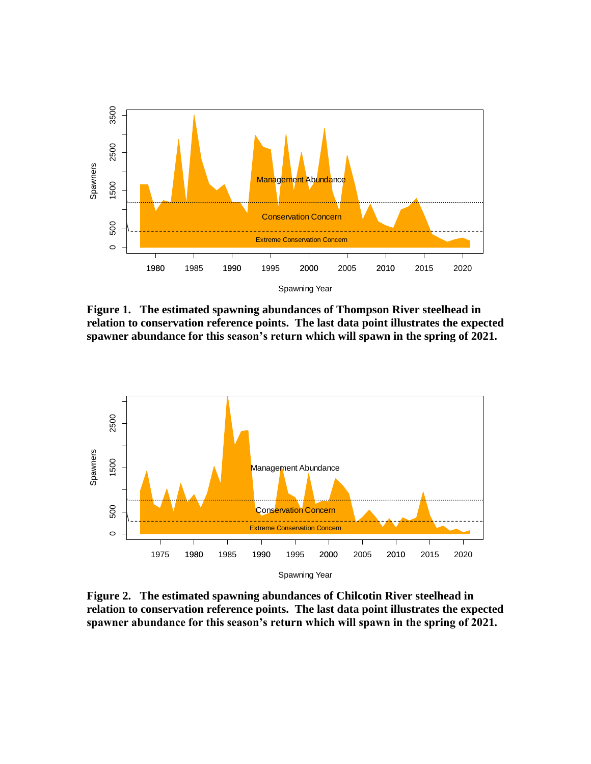

**Figure 1. The estimated spawning abundances of Thompson River steelhead in relation to conservation reference points. The last data point illustrates the expected spawner abundance for this season's return which will spawn in the spring of 2021.** 



**Figure 2. The estimated spawning abundances of Chilcotin River steelhead in relation to conservation reference points. The last data point illustrates the expected spawner abundance for this season's return which will spawn in the spring of 2021.**